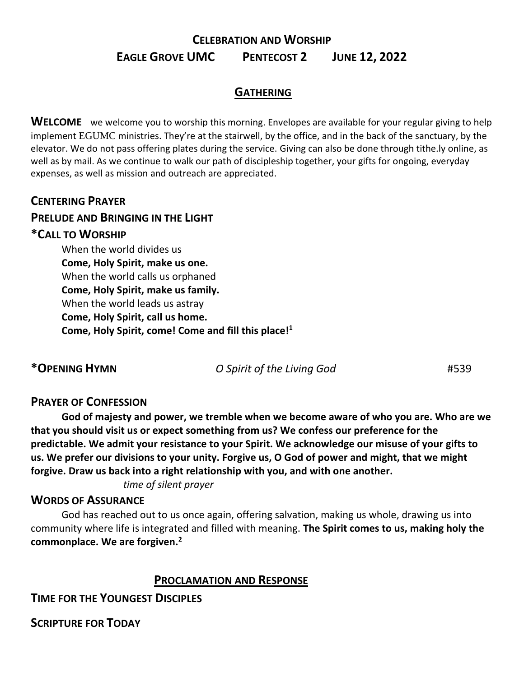# **CELEBRATION AND WORSHIP EAGLE GROVE UMC PENTECOST 2 JUNE 12, 2022**

# **GATHERING**

**WELCOME** we welcome you to worship this morning. Envelopes are available for your regular giving to help implement EGUMC ministries. They're at the stairwell, by the office, and in the back of the sanctuary, by the elevator. We do not pass offering plates during the service. Giving can also be done through tithe.ly online, as well as by mail. As we continue to walk our path of discipleship together, your gifts for ongoing, everyday expenses, as well as mission and outreach are appreciated.

#### **CENTERING PRAYER**

#### **PRELUDE AND BRINGING IN THE LIGHT**

#### **\*CALL TO WORSHIP**

When the world divides us **Come, Holy Spirit, make us one.** When the world calls us orphaned **Come, Holy Spirit, make us family.** When the world leads us astray **Come, Holy Spirit, call us home. Come, Holy Spirit, come! Come and fill this place!<sup>1</sup>**

**\*OPENING HYMN** *O Spirit of the Living God* #539

#### **PRAYER OF CONFESSION**

**God of majesty and power, we tremble when we become aware of who you are. Who are we that you should visit us or expect something from us? We confess our preference for the predictable. We admit your resistance to your Spirit. We acknowledge our misuse of your gifts to us. We prefer our divisions to your unity. Forgive us, O God of power and might, that we might forgive. Draw us back into a right relationship with you, and with one another.** 

*time of silent prayer*

#### **WORDS OF ASSURANCE**

God has reached out to us once again, offering salvation, making us whole, drawing us into community where life is integrated and filled with meaning. **The Spirit comes to us, making holy the commonplace. We are forgiven.<sup>2</sup>**

#### **PROCLAMATION AND RESPONSE**

**TIME FOR THE YOUNGEST DISCIPLES** 

**SCRIPTURE FOR TODAY**